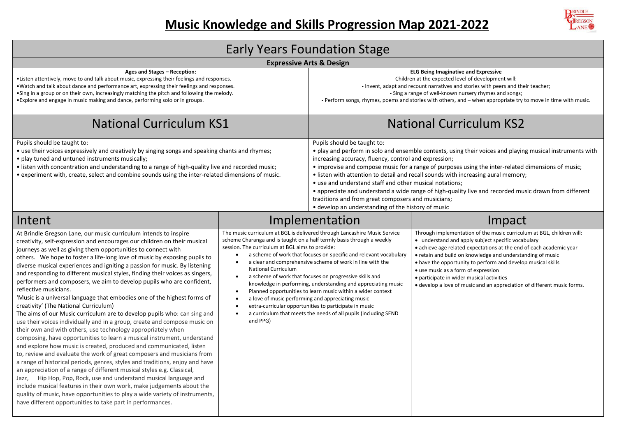

| <b>Early Years Foundation Stage</b>                                                                                                                                                                                                                                                                                                                                                                                                                                                                                                                                                                                                                                                                                                                                                                                                                                                                                                                                                                                                                                                                                                                                                                                                                                                                                                                                                                                                                                                                                                                                                          |                                                                                                                                                                                                                                                   |                                                                                                                                                                                                                                                                                                                                                                                                                                                                                                                                                                                                                                                                              |                                                                                                                                                                                                                                                                                                                                                                                                                                                                                                 |  |  |  |  |  |
|----------------------------------------------------------------------------------------------------------------------------------------------------------------------------------------------------------------------------------------------------------------------------------------------------------------------------------------------------------------------------------------------------------------------------------------------------------------------------------------------------------------------------------------------------------------------------------------------------------------------------------------------------------------------------------------------------------------------------------------------------------------------------------------------------------------------------------------------------------------------------------------------------------------------------------------------------------------------------------------------------------------------------------------------------------------------------------------------------------------------------------------------------------------------------------------------------------------------------------------------------------------------------------------------------------------------------------------------------------------------------------------------------------------------------------------------------------------------------------------------------------------------------------------------------------------------------------------------|---------------------------------------------------------------------------------------------------------------------------------------------------------------------------------------------------------------------------------------------------|------------------------------------------------------------------------------------------------------------------------------------------------------------------------------------------------------------------------------------------------------------------------------------------------------------------------------------------------------------------------------------------------------------------------------------------------------------------------------------------------------------------------------------------------------------------------------------------------------------------------------------------------------------------------------|-------------------------------------------------------------------------------------------------------------------------------------------------------------------------------------------------------------------------------------------------------------------------------------------------------------------------------------------------------------------------------------------------------------------------------------------------------------------------------------------------|--|--|--|--|--|
|                                                                                                                                                                                                                                                                                                                                                                                                                                                                                                                                                                                                                                                                                                                                                                                                                                                                                                                                                                                                                                                                                                                                                                                                                                                                                                                                                                                                                                                                                                                                                                                              | <b>Expressive Arts &amp; Design</b>                                                                                                                                                                                                               |                                                                                                                                                                                                                                                                                                                                                                                                                                                                                                                                                                                                                                                                              |                                                                                                                                                                                                                                                                                                                                                                                                                                                                                                 |  |  |  |  |  |
| Ages and Stages - Reception:<br>• Listen attentively, move to and talk about music, expressing their feelings and responses.<br>. Watch and talk about dance and performance art, expressing their feelings and responses.<br>•Sing in a group or on their own, increasingly matching the pitch and following the melody.<br>• Explore and engage in music making and dance, performing solo or in groups.                                                                                                                                                                                                                                                                                                                                                                                                                                                                                                                                                                                                                                                                                                                                                                                                                                                                                                                                                                                                                                                                                                                                                                                   |                                                                                                                                                                                                                                                   | <b>ELG Being Imaginative and Expressive</b><br>Children at the expected level of development will:<br>- Invent, adapt and recount narratives and stories with peers and their teacher;<br>- Sing a range of well-known nursery rhymes and songs;<br>- Perform songs, rhymes, poems and stories with others, and – when appropriate try to move in time with music.                                                                                                                                                                                                                                                                                                           |                                                                                                                                                                                                                                                                                                                                                                                                                                                                                                 |  |  |  |  |  |
| <b>National Curriculum KS1</b>                                                                                                                                                                                                                                                                                                                                                                                                                                                                                                                                                                                                                                                                                                                                                                                                                                                                                                                                                                                                                                                                                                                                                                                                                                                                                                                                                                                                                                                                                                                                                               |                                                                                                                                                                                                                                                   |                                                                                                                                                                                                                                                                                                                                                                                                                                                                                                                                                                                                                                                                              | <b>National Curriculum KS2</b>                                                                                                                                                                                                                                                                                                                                                                                                                                                                  |  |  |  |  |  |
| Pupils should be taught to:<br>• use their voices expressively and creatively by singing songs and speaking chants and rhymes;<br>• play tuned and untuned instruments musically;<br>• listen with concentration and understanding to a range of high-quality live and recorded music;<br>• experiment with, create, select and combine sounds using the inter-related dimensions of music.                                                                                                                                                                                                                                                                                                                                                                                                                                                                                                                                                                                                                                                                                                                                                                                                                                                                                                                                                                                                                                                                                                                                                                                                  |                                                                                                                                                                                                                                                   | Pupils should be taught to:<br>• play and perform in solo and ensemble contexts, using their voices and playing musical instruments with<br>increasing accuracy, fluency, control and expression;<br>• improvise and compose music for a range of purposes using the inter-related dimensions of music;<br>• listen with attention to detail and recall sounds with increasing aural memory;<br>• use and understand staff and other musical notations;<br>• appreciate and understand a wide range of high-quality live and recorded music drawn from different<br>traditions and from great composers and musicians;<br>• develop an understanding of the history of music |                                                                                                                                                                                                                                                                                                                                                                                                                                                                                                 |  |  |  |  |  |
| Intent                                                                                                                                                                                                                                                                                                                                                                                                                                                                                                                                                                                                                                                                                                                                                                                                                                                                                                                                                                                                                                                                                                                                                                                                                                                                                                                                                                                                                                                                                                                                                                                       |                                                                                                                                                                                                                                                   | Implementation                                                                                                                                                                                                                                                                                                                                                                                                                                                                                                                                                                                                                                                               | Impact                                                                                                                                                                                                                                                                                                                                                                                                                                                                                          |  |  |  |  |  |
| At Brindle Gregson Lane, our music curriculum intends to inspire<br>creativity, self-expression and encourages our children on their musical<br>journeys as well as giving them opportunities to connect with<br>others. We hope to foster a life-long love of music by exposing pupils to<br>diverse musical experiences and igniting a passion for music. By listening<br>and responding to different musical styles, finding their voices as singers,<br>performers and composers, we aim to develop pupils who are confident,<br>reflective musicians.<br>'Music is a universal language that embodies one of the highest forms of<br>creativity' (The National Curriculum)<br>The aims of our Music curriculum are to develop pupils who: can sing and<br>use their voices individually and in a group, create and compose music on<br>their own and with others, use technology appropriately when<br>composing, have opportunities to learn a musical instrument, understand<br>and explore how music is created, produced and communicated, listen<br>to, review and evaluate the work of great composers and musicians from<br>a range of historical periods, genres, styles and traditions, enjoy and have<br>an appreciation of a range of different musical styles e.g. Classical,<br>Hip Hop, Pop, Rock, use and understand musical language and<br>Jazz,<br>include musical features in their own work, make judgements about the<br>quality of music, have opportunities to play a wide variety of instruments,<br>have different opportunities to take part in performances. | scheme Charanga and is taught on a half termly basis through a weekly<br>session. The curriculum at BGL aims to provide:<br>$\bullet$<br><b>National Curriculum</b><br>$\bullet$<br>a love of music performing and appreciating music<br>and PPG) | The music curriculum at BGL is delivered through Lancashire Music Service<br>a scheme of work that focuses on specific and relevant vocabulary<br>a clear and comprehensive scheme of work in line with the<br>a scheme of work that focuses on progressive skills and<br>knowledge in performing, understanding and appreciating music<br>Planned opportunities to learn music within a wider context<br>extra-curricular opportunities to participate in music<br>a curriculum that meets the needs of all pupils (including SEND                                                                                                                                          | Through implementation of the music curriculum at BGL, children will:<br>• understand and apply subject specific vocabulary<br>• achieve age related expectations at the end of each academic year<br>• retain and build on knowledge and understanding of music<br>• have the opportunity to perform and develop musical skills<br>• use music as a form of expression<br>• participate in wider musical activities<br>• develop a love of music and an appreciation of different music forms. |  |  |  |  |  |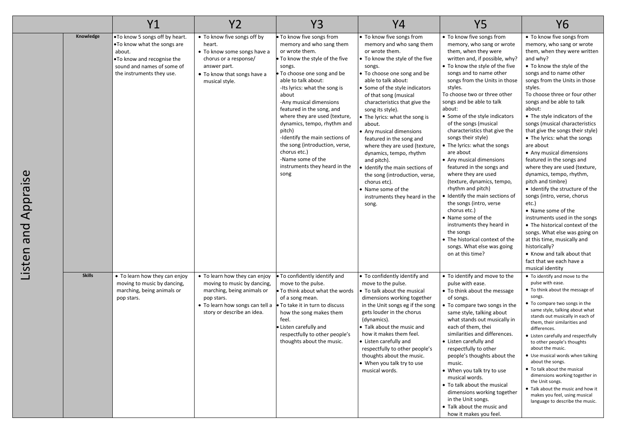|                       |               | Y1                                                                                                                                                                | <b>Y2</b>                                                                                                                                                                 | <b>Y3</b>                                                                                                                                                                                                                                                                                                                                                                                                                                                                                          | Y4                                                                                                                                                                                                                                                                                                                                                                                                                                                                                                                                                                                                                 | <b>Y5</b>                                                                                                                                                                                                                                                                                                                                                                                                                                                                                                                                                                                                                                                                                                                                                                                                                              | <b>Y6</b>                                                                                                                                                                                                                                                                                                                                                                                                                                                                                                                                                                                                                                                                                                                                                                                                                                                                                                          |
|-----------------------|---------------|-------------------------------------------------------------------------------------------------------------------------------------------------------------------|---------------------------------------------------------------------------------------------------------------------------------------------------------------------------|----------------------------------------------------------------------------------------------------------------------------------------------------------------------------------------------------------------------------------------------------------------------------------------------------------------------------------------------------------------------------------------------------------------------------------------------------------------------------------------------------|--------------------------------------------------------------------------------------------------------------------------------------------------------------------------------------------------------------------------------------------------------------------------------------------------------------------------------------------------------------------------------------------------------------------------------------------------------------------------------------------------------------------------------------------------------------------------------------------------------------------|----------------------------------------------------------------------------------------------------------------------------------------------------------------------------------------------------------------------------------------------------------------------------------------------------------------------------------------------------------------------------------------------------------------------------------------------------------------------------------------------------------------------------------------------------------------------------------------------------------------------------------------------------------------------------------------------------------------------------------------------------------------------------------------------------------------------------------------|--------------------------------------------------------------------------------------------------------------------------------------------------------------------------------------------------------------------------------------------------------------------------------------------------------------------------------------------------------------------------------------------------------------------------------------------------------------------------------------------------------------------------------------------------------------------------------------------------------------------------------------------------------------------------------------------------------------------------------------------------------------------------------------------------------------------------------------------------------------------------------------------------------------------|
| Appraise<br>isten and | Knowledge     | .To know 5 songs off by heart.<br>. To know what the songs are<br>about.<br>.To know and recognise the<br>sound and names of some of<br>the instruments they use. | • To know five songs off by<br>heart.<br>• To know some songs have a<br>chorus or a response/<br>answer part.<br>• To know that songs have a<br>musical style.            | To know five songs from<br>memory and who sang them<br>or wrote them.<br>To know the style of the five<br>songs.<br>To choose one song and be<br>able to talk about:<br>-Its lyrics: what the song is<br>about<br>-Any musical dimensions<br>featured in the song, and<br>where they are used (texture,<br>dynamics, tempo, rhythm and<br>pitch)<br>-Identify the main sections of<br>the song (introduction, verse,<br>chorus etc.)<br>-Name some of the<br>instruments they heard in the<br>song | . To know five songs from<br>memory and who sang them<br>or wrote them.<br>To know the style of the five<br>songs.<br>• To choose one song and be<br>able to talk about:<br>Some of the style indicators<br>of that song (musical<br>characteristics that give the<br>song its style).<br>The lyrics: what the song is<br>about.<br>Any musical dimensions<br>featured in the song and<br>where they are used (texture,<br>dynamics, tempo, rhythm<br>and pitch).<br>Identify the main sections of<br>the song (introduction, verse,<br>chorus etc).<br>Name some of the<br>instruments they heard in the<br>song. | • To know five songs from<br>memory, who sang or wrote<br>them, when they were<br>written and, if possible, why?<br>• To know the style of the five<br>songs and to name other<br>songs from the Units in those<br>styles.<br>To choose two or three other<br>songs and be able to talk<br>about:<br>• Some of the style indicators<br>of the songs (musical<br>characteristics that give the<br>songs their style)<br>• The lyrics: what the songs<br>are about<br>• Any musical dimensions<br>featured in the songs and<br>where they are used<br>(texture, dynamics, tempo,<br>rhythm and pitch)<br>• Identify the main sections of<br>the songs (intro, verse<br>chorus etc.)<br>• Name some of the<br>instruments they heard in<br>the songs<br>• The historical context of the<br>songs. What else was going<br>on at this time? | • To know five songs from<br>memory, who sang or wrote<br>them, when they were written<br>and why?<br>• To know the style of the<br>songs and to name other<br>songs from the Units in those<br>styles.<br>To choose three or four other<br>songs and be able to talk<br>about:<br>• The style indicators of the<br>songs (musical characteristics<br>that give the songs their style)<br>• The lyrics: what the songs<br>are about<br>• Any musical dimensions<br>featured in the songs and<br>where they are used (texture,<br>dynamics, tempo, rhythm,<br>pitch and timbre)<br>• Identify the structure of the<br>songs (intro, verse, chorus<br>etc.)<br>• Name some of the<br>instruments used in the songs<br>• The historical context of the<br>songs. What else was going on<br>at this time, musically and<br>historically?<br>• Know and talk about that<br>fact that we each have a<br>musical identity |
|                       | <b>Skills</b> | • To learn how they can enjoy<br>moving to music by dancing,<br>marching, being animals or<br>pop stars.                                                          | • To learn how they can enjoy<br>moving to music by dancing,<br>marching, being animals or<br>pop stars.<br>• To learn how songs can tell a<br>story or describe an idea. | . To confidently identify and<br>move to the pulse.<br>To think about what the words<br>of a song mean.<br>• To take it in turn to discuss<br>how the song makes them<br>feel.<br>Listen carefully and<br>respectfully to other people's<br>thoughts about the music.                                                                                                                                                                                                                              | • To confidently identify and<br>move to the pulse.<br>• To talk about the musical<br>dimensions working together<br>in the Unit songs eg if the song<br>gets louder in the chorus<br>(dynamics).<br>• Talk about the music and<br>how it makes them feel.<br>• Listen carefully and<br>respectfully to other people's<br>thoughts about the music.<br>• When you talk try to use<br>musical words.                                                                                                                                                                                                                | • To identify and move to the<br>pulse with ease.<br>• To think about the message<br>of songs.<br>• To compare two songs in the<br>same style, talking about<br>what stands out musically in<br>each of them, thei<br>similarities and differences.<br>• Listen carefully and<br>respectfully to other<br>people's thoughts about the<br>music.<br>• When you talk try to use<br>musical words.<br>• To talk about the musical<br>dimensions working together<br>in the Unit songs.<br>• Talk about the music and<br>how it makes you feel.                                                                                                                                                                                                                                                                                            | • To identify and move to the<br>pulse with ease.<br>• To think about the message of<br>songs.<br>• To compare two songs in the<br>same style, talking about what<br>stands out musically in each of<br>them, their similarities and<br>differences.<br>• Listen carefully and respectfully<br>to other people's thoughts<br>about the music.<br>• Use musical words when talking<br>about the songs.<br>• To talk about the musical<br>dimensions working together in<br>the Unit songs.<br>. Talk about the music and how it<br>makes you feel, using musical<br>language to describe the music.                                                                                                                                                                                                                                                                                                                 |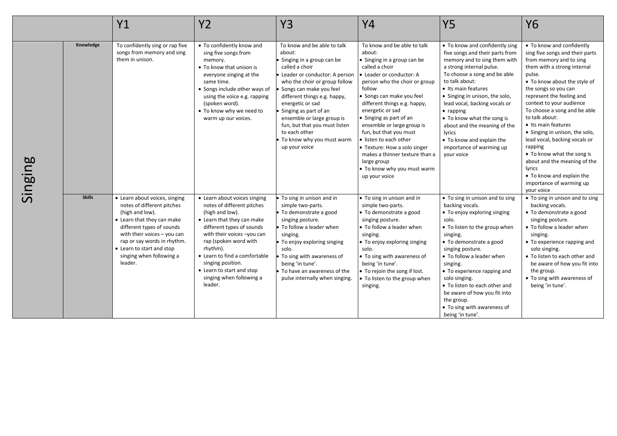|         |               | Y1                                                                                                                                                                                                                                                                          | <b>Y2</b>                                                                                                                                                                                                                                                                                                                             | Y3                                                                                                                                                                                                                                                                                                                                                                                           | Y4                                                                                                                                                                                                                                                                                                                                                                                                                                                                                           | <b>Y5</b>                                                                                                                                                                                                                                                                                                                                                                                                                                     | <b>Y6</b>                                                                                                                                                                                                                                                                                                                                                                                                                                                                                                                                               |
|---------|---------------|-----------------------------------------------------------------------------------------------------------------------------------------------------------------------------------------------------------------------------------------------------------------------------|---------------------------------------------------------------------------------------------------------------------------------------------------------------------------------------------------------------------------------------------------------------------------------------------------------------------------------------|----------------------------------------------------------------------------------------------------------------------------------------------------------------------------------------------------------------------------------------------------------------------------------------------------------------------------------------------------------------------------------------------|----------------------------------------------------------------------------------------------------------------------------------------------------------------------------------------------------------------------------------------------------------------------------------------------------------------------------------------------------------------------------------------------------------------------------------------------------------------------------------------------|-----------------------------------------------------------------------------------------------------------------------------------------------------------------------------------------------------------------------------------------------------------------------------------------------------------------------------------------------------------------------------------------------------------------------------------------------|---------------------------------------------------------------------------------------------------------------------------------------------------------------------------------------------------------------------------------------------------------------------------------------------------------------------------------------------------------------------------------------------------------------------------------------------------------------------------------------------------------------------------------------------------------|
| Singing | Knowledge     | To confidently sing or rap five<br>songs from memory and sing<br>them in unison.                                                                                                                                                                                            | • To confidently know and<br>sing five songs from<br>memory.<br>• To know that unison is<br>everyone singing at the<br>same time.<br>• Songs include other ways of<br>using the voice e.g. rapping<br>(spoken word).<br>. To know why we need to<br>warm up our voices.                                                               | To know and be able to talk<br>about:<br>Singing in a group can be<br>called a choir<br>Leader or conductor: A person<br>who the choir or group follow<br>Songs can make you feel<br>different things e.g. happy,<br>energetic or sad<br>Singing as part of an<br>ensemble or large group is<br>fun, but that you must listen<br>to each other<br>To know why you must warm<br>up your voice | To know and be able to talk<br>about:<br>• Singing in a group can be<br>called a choir<br>• Leader or conductor: A<br>person who the choir or group<br>follow<br>· Songs can make you feel<br>different things e.g. happy,<br>energetic or sad<br>• Singing as part of an<br>ensemble or large group is<br>fun, but that you must<br>· listen to each other<br>• Texture: How a solo singer<br>makes a thinner texture than a<br>large group<br>• To know why you must warm<br>up your voice | • To know and confidently sing<br>five songs and their parts from<br>memory and to sing them with<br>a strong internal pulse.<br>To choose a song and be able<br>to talk about:<br>• Its main features<br>• Singing in unison, the solo,<br>lead vocal, backing vocals or<br>$\bullet$ rapping<br>• To know what the song is<br>about and the meaning of the<br>lyrics<br>• To know and explain the<br>importance of warming up<br>your voice | • To know and confidently<br>sing five songs and their parts<br>from memory and to sing<br>them with a strong internal<br>pulse.<br>• To know about the style of<br>the songs so you can<br>represent the feeling and<br>context to your audience<br>To choose a song and be able<br>to talk about:<br>• Its main features<br>• Singing in unison, the solo,<br>lead vocal, backing vocals or<br>rapping<br>• To know what the song is<br>about and the meaning of the<br>lyrics<br>• To know and explain the<br>importance of warming up<br>your voice |
|         | <b>Skills</b> | • Learn about voices, singing<br>notes of different pitches<br>(high and low).<br>• Learn that they can make<br>different types of sounds<br>with their voices - you can<br>rap or say words in rhythm.<br>• Learn to start and stop<br>singing when following a<br>leader. | • Learn about voices singing<br>notes of different pitches<br>(high and low).<br>• Learn that they can make<br>different types of sounds<br>with their voices -you can<br>rap (spoken word with<br>rhythm).<br>• Learn to find a comfortable<br>singing position.<br>• Learn to start and stop<br>singing when following a<br>leader. | To sing in unison and in<br>simple two-parts.<br>· To demonstrate a good<br>singing posture.<br>• To follow a leader when<br>singing.<br>To enjoy exploring singing<br>solo.<br>To sing with awareness of<br>being 'in tune'.<br>To have an awareness of the<br>pulse internally when singing.                                                                                               | • To sing in unison and in<br>simple two-parts.<br>• To demonstrate a good<br>singing posture.<br>• To follow a leader when<br>singing.<br>• To enjoy exploring singing<br>solo.<br>• To sing with awareness of<br>being 'in tune'.<br>• To rejoin the song if lost.<br>• To listen to the group when<br>singing.                                                                                                                                                                            | • To sing in unison and to sing<br>backing vocals.<br>• To enjoy exploring singing<br>solo.<br>• To listen to the group when<br>singing.<br>• To demonstrate a good<br>singing posture.<br>• To follow a leader when<br>singing.<br>• To experience rapping and<br>solo singing.<br>• To listen to each other and<br>be aware of how you fit into<br>the group.<br>• To sing with awareness of<br>being 'in tune'.                            | • To sing in unison and to sing<br>backing vocals.<br>• To demonstrate a good<br>singing posture.<br>• To follow a leader when<br>singing.<br>• To experience rapping and<br>solo singing.<br>• To listen to each other and<br>be aware of how you fit into<br>the group.<br>• To sing with awareness of<br>being 'in tune'.                                                                                                                                                                                                                            |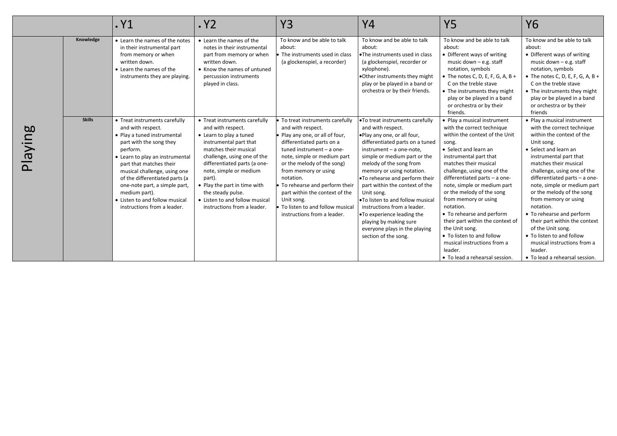|         |               | . Y1                                                                                                                                                                                                                                                                                                                                                                        | . Y <sub>2</sub>                                                                                                                                                                                                                                                                                                                                          | <b>Y3</b>                                                                                                                                                                                                                                                                                                                                                                                           | Υ4                                                                                                                                                                                                                                                                                                                                                                                                                                                                                                                               | <b>Y5</b>                                                                                                                                                                                                                                                                                                                                                                                                                                                                                                                                     | Y6                                                                                                                                                                                                                                                                                                                                                                                                                                                                                                                                            |
|---------|---------------|-----------------------------------------------------------------------------------------------------------------------------------------------------------------------------------------------------------------------------------------------------------------------------------------------------------------------------------------------------------------------------|-----------------------------------------------------------------------------------------------------------------------------------------------------------------------------------------------------------------------------------------------------------------------------------------------------------------------------------------------------------|-----------------------------------------------------------------------------------------------------------------------------------------------------------------------------------------------------------------------------------------------------------------------------------------------------------------------------------------------------------------------------------------------------|----------------------------------------------------------------------------------------------------------------------------------------------------------------------------------------------------------------------------------------------------------------------------------------------------------------------------------------------------------------------------------------------------------------------------------------------------------------------------------------------------------------------------------|-----------------------------------------------------------------------------------------------------------------------------------------------------------------------------------------------------------------------------------------------------------------------------------------------------------------------------------------------------------------------------------------------------------------------------------------------------------------------------------------------------------------------------------------------|-----------------------------------------------------------------------------------------------------------------------------------------------------------------------------------------------------------------------------------------------------------------------------------------------------------------------------------------------------------------------------------------------------------------------------------------------------------------------------------------------------------------------------------------------|
|         | Knowledge     | • Learn the names of the notes<br>in their instrumental part<br>from memory or when<br>written down.<br>• Learn the names of the<br>instruments they are playing.                                                                                                                                                                                                           | • Learn the names of the<br>notes in their instrumental<br>part from memory or when<br>written down.<br>• Know the names of untuned<br>percussion instruments<br>played in class.                                                                                                                                                                         | To know and be able to talk<br>about:<br>The instruments used in class<br>(a glockenspiel, a recorder)                                                                                                                                                                                                                                                                                              | To know and be able to talk<br>about:<br><b>.</b> The instruments used in class<br>(a glockenspiel, recorder or<br>xylophone).<br>. Other instruments they might<br>play or be played in a band or<br>orchestra or by their friends.                                                                                                                                                                                                                                                                                             | To know and be able to talk<br>about:<br>• Different ways of writing<br>music down $-$ e.g. staff<br>notation, symbols<br>• The notes C, D, E, F, G, A, B +<br>C on the treble stave<br>• The instruments they might<br>play or be played in a band<br>or orchestra or by their<br>friends.                                                                                                                                                                                                                                                   | To know and be able to talk<br>about:<br>• Different ways of writing<br>music down $-$ e.g. staff<br>notation, symbols<br>• The notes C, D, E, F, G, A, B +<br>C on the treble stave<br>• The instruments they might<br>play or be played in a band<br>or orchestra or by their<br>friends                                                                                                                                                                                                                                                    |
| Playing | <b>Skills</b> | • Treat instruments carefully<br>and with respect.<br>• Play a tuned instrumental<br>part with the song they<br>perform.<br>• Learn to play an instrumental<br>part that matches their<br>musical challenge, using one<br>of the differentiated parts (a<br>one-note part, a simple part,<br>medium part).<br>• Listen to and follow musical<br>instructions from a leader. | • Treat instruments carefully<br>and with respect.<br>• Learn to play a tuned<br>instrumental part that<br>matches their musical<br>challenge, using one of the<br>differentiated parts (a one-<br>note, simple or medium<br>part).<br>• Play the part in time with<br>the steady pulse.<br>• Listen to and follow musical<br>instructions from a leader. | To treat instruments carefully<br>and with respect.<br>Play any one, or all of four,<br>differentiated parts on a<br>tuned instrument - a one-<br>note, simple or medium part<br>or the melody of the song)<br>from memory or using<br>notation.<br>To rehearse and perform their<br>part within the context of the<br>Unit song.<br>To listen to and follow musical<br>instructions from a leader. | .To treat instruments carefully<br>and with respect.<br>. Play any one, or all four,<br>differentiated parts on a tuned<br>instrument - a one-note,<br>simple or medium part or the<br>melody of the song from<br>memory or using notation.<br>. To rehearse and perform their<br>part within the context of the<br>Unit song.<br><b>•To listen to and follow musical</b><br>instructions from a leader.<br><b>•To experience leading the</b><br>playing by making sure<br>everyone plays in the playing<br>section of the song. | • Play a musical instrument<br>with the correct technique<br>within the context of the Unit<br>song.<br>• Select and learn an<br>instrumental part that<br>matches their musical<br>challenge, using one of the<br>differentiated parts - a one-<br>note, simple or medium part<br>or the melody of the song<br>from memory or using<br>notation.<br>• To rehearse and perform<br>their part within the context of<br>the Unit song.<br>• To listen to and follow<br>musical instructions from a<br>leader.<br>• To lead a rehearsal session. | • Play a musical instrument<br>with the correct technique<br>within the context of the<br>Unit song.<br>• Select and learn an<br>instrumental part that<br>matches their musical<br>challenge, using one of the<br>differentiated parts - a one-<br>note, simple or medium part<br>or the melody of the song<br>from memory or using<br>notation.<br>• To rehearse and perform<br>their part within the context<br>of the Unit song.<br>• To listen to and follow<br>musical instructions from a<br>leader.<br>• To lead a rehearsal session. |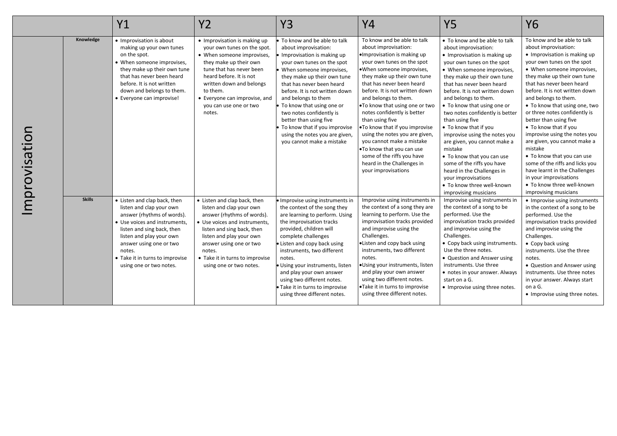|              |               | Y1                                                                                                                                                                                                                                                                                   | <b>Y2</b>                                                                                                                                                                                                                                                                               | <b>Y3</b>                                                                                                                                                                                                                                                                                                                                                                                                                                           | <b>Y4</b>                                                                                                                                                                                                                                                                                                                                                                                                                                                                                                                                                                  | <b>Y5</b>                                                                                                                                                                                                                                                                                                                                                                                                                                                                                                                                                                                                                                 | <b>Y6</b>                                                                                                                                                                                                                                                                                                                                                                                                                                                                                                                                                                                                                                                 |
|--------------|---------------|--------------------------------------------------------------------------------------------------------------------------------------------------------------------------------------------------------------------------------------------------------------------------------------|-----------------------------------------------------------------------------------------------------------------------------------------------------------------------------------------------------------------------------------------------------------------------------------------|-----------------------------------------------------------------------------------------------------------------------------------------------------------------------------------------------------------------------------------------------------------------------------------------------------------------------------------------------------------------------------------------------------------------------------------------------------|----------------------------------------------------------------------------------------------------------------------------------------------------------------------------------------------------------------------------------------------------------------------------------------------------------------------------------------------------------------------------------------------------------------------------------------------------------------------------------------------------------------------------------------------------------------------------|-------------------------------------------------------------------------------------------------------------------------------------------------------------------------------------------------------------------------------------------------------------------------------------------------------------------------------------------------------------------------------------------------------------------------------------------------------------------------------------------------------------------------------------------------------------------------------------------------------------------------------------------|-----------------------------------------------------------------------------------------------------------------------------------------------------------------------------------------------------------------------------------------------------------------------------------------------------------------------------------------------------------------------------------------------------------------------------------------------------------------------------------------------------------------------------------------------------------------------------------------------------------------------------------------------------------|
| mprovisation | Knowledge     | • Improvisation is about<br>making up your own tunes<br>on the spot.<br>• When someone improvises,<br>they make up their own tune<br>that has never been heard<br>before. It is not written<br>down and belongs to them.<br>• Everyone can improvise!                                | • Improvisation is making up<br>your own tunes on the spot.<br>• When someone improvises,<br>they make up their own<br>tune that has never been<br>heard before. It is not<br>written down and belongs<br>to them.<br>• Everyone can improvise, and<br>you can use one or two<br>notes. | To know and be able to talk<br>about improvisation:<br>Improvisation is making up<br>your own tunes on the spot<br>When someone improvises,<br>they make up their own tune<br>that has never been heard<br>before. It is not written down<br>and belongs to them<br>To know that using one or<br>two notes confidently is<br>better than using five<br>To know that if you improvise<br>using the notes you are given,<br>you cannot make a mistake | To know and be able to talk<br>about improvisation:<br>·Improvisation is making up<br>your own tunes on the spot<br>.When someone improvises,<br>they make up their own tune<br>that has never been heard<br>before. It is not written down<br>and belongs to them.<br>. To know that using one or two<br>notes confidently is better<br>than using five<br>. To know that if you improvise<br>using the notes you are given,<br>you cannot make a mistake<br>.To know that you can use<br>some of the riffs you have<br>heard in the Challenges in<br>your improvisations | • To know and be able to talk<br>about improvisation:<br>• Improvisation is making up<br>your own tunes on the spot<br>• When someone improvises,<br>they make up their own tune<br>that has never been heard<br>before. It is not written down<br>and belongs to them.<br>• To know that using one or<br>two notes confidently is better<br>than using five<br>• To know that if you<br>improvise using the notes you<br>are given, you cannot make a<br>mistake<br>. To know that you can use<br>some of the riffs you have<br>heard in the Challenges in<br>your improvisations<br>• To know three well-known<br>improvising musicians | To know and be able to talk<br>about improvisation:<br>• Improvisation is making up<br>your own tunes on the spot<br>• When someone improvises,<br>they make up their own tune<br>that has never been heard<br>before. It is not written down<br>and belongs to them.<br>• To know that using one, two<br>or three notes confidently is<br>better than using five<br>• To know that if you<br>improvise using the notes you<br>are given, you cannot make a<br>mistake<br>• To know that you can use<br>some of the riffs and licks you<br>have learnt in the Challenges<br>in your improvisations<br>• To know three well-known<br>improvising musicians |
|              | <b>Skills</b> | • Listen and clap back, then<br>listen and clap your own<br>answer (rhythms of words).<br>• Use voices and instruments,<br>listen and sing back, then<br>listen and play your own<br>answer using one or two<br>notes.<br>• Take it in turns to improvise<br>using one or two notes. | • Listen and clap back, then<br>listen and clap your own<br>answer (rhythms of words).<br>• Use voices and instruments.<br>listen and sing back, then<br>listen and play your own<br>answer using one or two<br>notes.<br>• Take it in turns to improvise<br>using one or two notes.    | Improvise using instruments in<br>the context of the song they<br>are learning to perform. Using<br>the improvisation tracks<br>provided, children will<br>complete challenges<br>Listen and copy back using<br>instruments, two different<br>notes.<br>Using your instruments, listen<br>and play your own answer<br>using two different notes.<br>Take it in turns to improvise<br>using three different notes.                                   | Improvise using instruments in<br>the context of a song they are<br>learning to perform. Use the<br>improvisation tracks provided<br>and improvise using the<br>Challenges.<br>•Listen and copy back using<br>instruments, two different<br>notes.<br>·Using your instruments, listen<br>and play your own answer<br>using two different notes.<br>•Take it in turns to improvise<br>using three different notes.                                                                                                                                                          | Improvise using instruments in<br>the context of a song to be<br>performed. Use the<br>improvisation tracks provided<br>and improvise using the<br>Challenges.<br>• Copy back using instruments.<br>Use the three notes.<br>• Question and Answer using<br>instruments. Use three<br>• notes in your answer. Always<br>start on a G.<br>• Improvise using three notes.                                                                                                                                                                                                                                                                    | • Improvise using instruments<br>in the context of a song to be<br>performed. Use the<br>improvisation tracks provided<br>and improvise using the<br>Challenges.<br>• Copy back using<br>instruments. Use the three<br>notes.<br>• Question and Answer using<br>instruments. Use three notes<br>in your answer. Always start<br>on a G.<br>• Improvise using three notes.                                                                                                                                                                                                                                                                                 |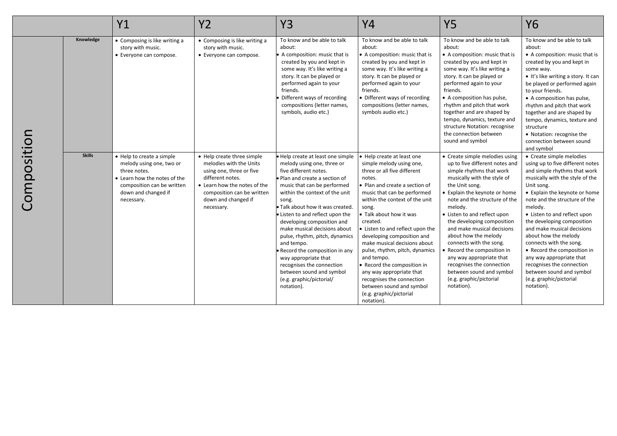|             |               | <b>Y1</b>                                                                                                                                                                | <b>Y2</b>                                                                                                                                                                                                | <b>Y3</b>                                                                                                                                                                                                                                                                                                                                                                                                                                                                                                                                              | Y4                                                                                                                                                                                                                                                                                                                                                                                                                                                                                                                                                                        | <b>Y5</b>                                                                                                                                                                                                                                                                                                                                                                                                                                                                                                                              | <b>Y6</b>                                                                                                                                                                                                                                                                                                                                                                                                                                                                                                                              |
|-------------|---------------|--------------------------------------------------------------------------------------------------------------------------------------------------------------------------|----------------------------------------------------------------------------------------------------------------------------------------------------------------------------------------------------------|--------------------------------------------------------------------------------------------------------------------------------------------------------------------------------------------------------------------------------------------------------------------------------------------------------------------------------------------------------------------------------------------------------------------------------------------------------------------------------------------------------------------------------------------------------|---------------------------------------------------------------------------------------------------------------------------------------------------------------------------------------------------------------------------------------------------------------------------------------------------------------------------------------------------------------------------------------------------------------------------------------------------------------------------------------------------------------------------------------------------------------------------|----------------------------------------------------------------------------------------------------------------------------------------------------------------------------------------------------------------------------------------------------------------------------------------------------------------------------------------------------------------------------------------------------------------------------------------------------------------------------------------------------------------------------------------|----------------------------------------------------------------------------------------------------------------------------------------------------------------------------------------------------------------------------------------------------------------------------------------------------------------------------------------------------------------------------------------------------------------------------------------------------------------------------------------------------------------------------------------|
|             | Knowledge     | • Composing is like writing a<br>story with music.<br>• Everyone can compose.                                                                                            | • Composing is like writing a<br>story with music.<br>• Everyone can compose.                                                                                                                            | To know and be able to talk<br>about:<br>A composition: music that is<br>created by you and kept in<br>some way. It's like writing a<br>story. It can be played or<br>performed again to your<br>friends.<br>Different ways of recording<br>compositions (letter names,<br>symbols, audio etc.)                                                                                                                                                                                                                                                        | To know and be able to talk<br>about:<br>• A composition: music that is<br>created by you and kept in<br>some way. It's like writing a<br>story. It can be played or<br>performed again to your<br>friends.<br>• Different ways of recording<br>compositions (letter names,<br>symbols audio etc.)                                                                                                                                                                                                                                                                        | To know and be able to talk<br>about:<br>• A composition: music that is<br>created by you and kept in<br>some way. It's like writing a<br>story. It can be played or<br>performed again to your<br>friends.<br>• A composition has pulse,<br>rhythm and pitch that work<br>together and are shaped by<br>tempo, dynamics, texture and<br>structure Notation: recognise<br>the connection between<br>sound and symbol                                                                                                                   | To know and be able to talk<br>about:<br>• A composition: music that is<br>created by you and kept in<br>some way.<br>• It's like writing a story. It can<br>be played or performed again<br>to your friends.<br>• A composition has pulse,<br>rhythm and pitch that work<br>together and are shaped by<br>tempo, dynamics, texture and<br>structure<br>• Notation: recognise the<br>connection between sound<br>and symbol                                                                                                            |
| Composition | <b>Skills</b> | • Help to create a simple<br>melody using one, two or<br>three notes.<br>• Learn how the notes of the<br>composition can be written<br>down and changed if<br>necessary. | • Help create three simple<br>melodies with the Units<br>using one, three or five<br>different notes.<br>• Learn how the notes of the<br>composition can be written<br>down and changed if<br>necessary. | · Help create at least one simple<br>melody using one, three or<br>five different notes.<br>· Plan and create a section of<br>music that can be performed<br>within the context of the unit<br>song.<br>· Talk about how it was created.<br>• Listen to and reflect upon the<br>developing composition and<br>make musical decisions about<br>pulse, rhythm, pitch, dynamics<br>and tempo.<br>Record the composition in any<br>way appropriate that<br>recognises the connection<br>between sound and symbol<br>(e.g. graphic/pictorial/<br>notation). | ● Help create at least one<br>simple melody using one,<br>three or all five different<br>notes.<br>• Plan and create a section of<br>music that can be performed<br>within the context of the unit<br>song.<br>$\bullet$ Talk about how it was<br>created.<br>• Listen to and reflect upon the<br>developing composition and<br>make musical decisions about<br>pulse, rhythm, pitch, dynamics<br>and tempo.<br>• Record the composition in<br>any way appropriate that<br>recognises the connection<br>between sound and symbol<br>(e.g. graphic/pictorial<br>notation). | • Create simple melodies using<br>up to five different notes and<br>simple rhythms that work<br>musically with the style of<br>the Unit song.<br>• Explain the keynote or home<br>note and the structure of the<br>melody.<br>• Listen to and reflect upon<br>the developing composition<br>and make musical decisions<br>about how the melody<br>connects with the song.<br>• Record the composition in<br>any way appropriate that<br>recognises the connection<br>between sound and symbol<br>(e.g. graphic/pictorial<br>notation). | • Create simple melodies<br>using up to five different notes<br>and simple rhythms that work<br>musically with the style of the<br>Unit song.<br>• Explain the keynote or home<br>note and the structure of the<br>melody.<br>• Listen to and reflect upon<br>the developing composition<br>and make musical decisions<br>about how the melody<br>connects with the song.<br>• Record the composition in<br>any way appropriate that<br>recognises the connection<br>between sound and symbol<br>(e.g. graphic/pictorial<br>notation). |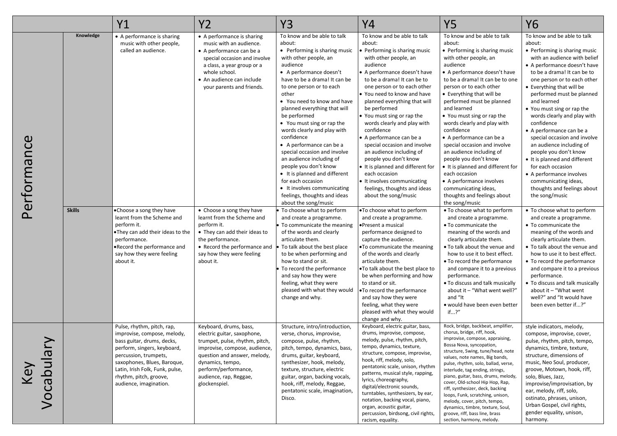|                                                        |                            | Y1                                                                                                                                                                                                                                                                                  | <b>Y2</b>                                                                                                                                                                                                                                                                                                                                                                                                                           | <b>Y3</b>                                                                                                                                                                                                                                                                                                                                                                                                                                                                                                                                                                                                                                                                                                                                                                                                                                                                                                                                                                                           | Y4                                                                                                                                                                                                                                                                                                                                                                                                                                                                                                                                                                                                                                                                                                                                                                                                                                                                                                                                                                                                                                                    | <b>Y5</b>                                                                                                                                                                                                                                                                                                                                                                                                                                                                                                                                                                                                                                                                                                                                                                                                                                                                                                                                                                                                                                                   | <b>Y6</b>                                                                                                                                                                                                                                                                                                                                                                                                                                                                                                                                                                                                                                                                                                                                                                                                                                                                                                                                                                                                                                         |
|--------------------------------------------------------|----------------------------|-------------------------------------------------------------------------------------------------------------------------------------------------------------------------------------------------------------------------------------------------------------------------------------|-------------------------------------------------------------------------------------------------------------------------------------------------------------------------------------------------------------------------------------------------------------------------------------------------------------------------------------------------------------------------------------------------------------------------------------|-----------------------------------------------------------------------------------------------------------------------------------------------------------------------------------------------------------------------------------------------------------------------------------------------------------------------------------------------------------------------------------------------------------------------------------------------------------------------------------------------------------------------------------------------------------------------------------------------------------------------------------------------------------------------------------------------------------------------------------------------------------------------------------------------------------------------------------------------------------------------------------------------------------------------------------------------------------------------------------------------------|-------------------------------------------------------------------------------------------------------------------------------------------------------------------------------------------------------------------------------------------------------------------------------------------------------------------------------------------------------------------------------------------------------------------------------------------------------------------------------------------------------------------------------------------------------------------------------------------------------------------------------------------------------------------------------------------------------------------------------------------------------------------------------------------------------------------------------------------------------------------------------------------------------------------------------------------------------------------------------------------------------------------------------------------------------|-------------------------------------------------------------------------------------------------------------------------------------------------------------------------------------------------------------------------------------------------------------------------------------------------------------------------------------------------------------------------------------------------------------------------------------------------------------------------------------------------------------------------------------------------------------------------------------------------------------------------------------------------------------------------------------------------------------------------------------------------------------------------------------------------------------------------------------------------------------------------------------------------------------------------------------------------------------------------------------------------------------------------------------------------------------|---------------------------------------------------------------------------------------------------------------------------------------------------------------------------------------------------------------------------------------------------------------------------------------------------------------------------------------------------------------------------------------------------------------------------------------------------------------------------------------------------------------------------------------------------------------------------------------------------------------------------------------------------------------------------------------------------------------------------------------------------------------------------------------------------------------------------------------------------------------------------------------------------------------------------------------------------------------------------------------------------------------------------------------------------|
| Performance                                            | Knowledge<br><b>Skills</b> | • A performance is sharing<br>music with other people,<br>called an audience.<br>•Choose a song they have<br>learnt from the Scheme and<br>perform it.<br>.They can add their ideas to the<br>performance.<br>.Record the performance and<br>say how they were feeling<br>about it. | • A performance is sharing<br>music with an audience.<br>• A performance can be a<br>special occasion and involve<br>a class, a year group or a<br>whole school.<br>• An audience can include<br>your parents and friends.<br>• Choose a song they have<br>learnt from the Scheme and<br>perform it.<br>• They can add their ideas to<br>the performance.<br>• Record the performance and<br>say how they were feeling<br>about it. | To know and be able to talk<br>about:<br>• Performing is sharing music<br>with other people, an<br>audience<br>• A performance doesn't<br>have to be a drama! It can be<br>to one person or to each<br>other<br>• You need to know and have<br>planned everything that will<br>be performed<br>• You must sing or rap the<br>words clearly and play with<br>confidence<br>• A performance can be a<br>special occasion and involve<br>an audience including of<br>people you don't know<br>• It is planned and different<br>for each occasion<br>• It involves communicating<br>feelings, thoughts and ideas<br>about the song/music<br>To choose what to perform<br>and create a programme.<br>To communicate the meaning<br>of the words and clearly<br>articulate them.<br>To talk about the best place<br>to be when performing and<br>how to stand or sit.<br>To record the performance<br>and say how they were<br>feeling, what they were<br>pleased with what they would<br>change and why. | To know and be able to talk<br>about:<br>Performing is sharing music<br>with other people, an<br>audience<br>A performance doesn't have<br>to be a drama! It can be to<br>one person or to each other<br>You need to know and have<br>planned everything that will<br>be performed<br>● You must sing or rap the<br>words clearly and play with<br>confidence<br>A performance can be a<br>special occasion and involve<br>an audience including of<br>people you don't know<br>• It is planned and different for<br>each occasion<br>• It involves communicating<br>feelings, thoughts and ideas<br>about the song/music<br>.To choose what to perform<br>and create a programme.<br>•Present a musical<br>performance designed to<br>capture the audience.<br>. To communicate the meaning<br>of the words and clearly<br>articulate them.<br>. To talk about the best place to<br>be when performing and how<br>to stand or sit.<br>.To record the performance<br>and say how they were<br>feeling, what they were<br>pleased with what they would | To know and be able to talk<br>about:<br>• Performing is sharing music<br>with other people, an<br>audience<br>• A performance doesn't have<br>to be a drama! It can be to one<br>person or to each other<br>• Everything that will be<br>performed must be planned<br>and learned<br>• You must sing or rap the<br>words clearly and play with<br>confidence<br>• A performance can be a<br>special occasion and involve<br>an audience including of<br>people you don't know<br>• It is planned and different for<br>each occasion<br>• A performance involves<br>communicating ideas,<br>thoughts and feelings about<br>the song/music<br>• To choose what to perform<br>and create a programme.<br>• To communicate the<br>meaning of the words and<br>clearly articulate them.<br>• To talk about the venue and<br>how to use it to best effect.<br>• To record the performance<br>and compare it to a previous<br>performance.<br>. To discuss and talk musically<br>about it - "What went well?"<br>and "It<br>· would have been even better<br>if?" | To know and be able to talk<br>about:<br>• Performing is sharing music<br>with an audience with belief<br>• A performance doesn't have<br>to be a drama! It can be to<br>one person or to each other<br>• Everything that will be<br>performed must be planned<br>and learned<br>• You must sing or rap the<br>words clearly and play with<br>confidence<br>• A performance can be a<br>special occasion and involve<br>an audience including of<br>people you don't know<br>• It is planned and different<br>for each occasion<br>• A performance involves<br>communicating ideas,<br>thoughts and feelings about<br>the song/music<br>• To choose what to perform<br>and create a programme.<br>• To communicate the<br>meaning of the words and<br>clearly articulate them.<br>• To talk about the venue and<br>how to use it to best effect.<br>• To record the performance<br>and compare it to a previous<br>performance.<br>• To discuss and talk musically<br>about it - "What went<br>well?" and "It would have<br>been even better if?" |
| $\boldsymbol{\sigma}$<br>$\overline{u}$<br>Key<br>Voca |                            | Pulse, rhythm, pitch, rap,<br>improvise, compose, melody,<br>bass guitar, drums, decks,<br>perform, singers, keyboard,<br>percussion, trumpets,<br>saxophones, Blues, Baroque,<br>Latin, Irish Folk, Funk, pulse,<br>rhythm, pitch, groove,<br>audience, imagination.               | Keyboard, drums, bass,<br>electric guitar, saxophone,<br>trumpet, pulse, rhythm, pitch,<br>improvise, compose, audience,<br>question and answer, melody,<br>dynamics, tempo,<br>perform/performance,<br>audience, rap, Reggae,<br>glockenspiel.                                                                                                                                                                                     | Structure, intro/introduction,<br>verse, chorus, improvise,<br>compose, pulse, rhythm,<br>pitch, tempo, dynamics, bass,<br>drums, guitar, keyboard,<br>synthesizer, hook, melody,<br>texture, structure, electric<br>guitar, organ, backing vocals,<br>hook, riff, melody, Reggae,<br>pentatonic scale, imagination,<br>Disco.                                                                                                                                                                                                                                                                                                                                                                                                                                                                                                                                                                                                                                                                      | change and why.<br>Keyboard, electric guitar, bass,<br>drums, improvise, compose,<br>melody, pulse, rhythm, pitch,<br>tempo, dynamics, texture,<br>structure, compose, improvise,<br>hook, riff, melody, solo,<br>pentatonic scale, unison, rhythm<br>patterns, musical style, rapping,<br>lyrics, choreography,<br>digital/electronic sounds,<br>turntables, synthesizers, by ear,<br>notation, backing vocal, piano,<br>organ, acoustic guitar,<br>percussion, birdsong, civil rights,<br>racism, equality.                                                                                                                                                                                                                                                                                                                                                                                                                                                                                                                                         | Rock, bridge, backbeat, amplifier,<br>chorus, bridge, riff, hook,<br>improvise, compose, appraising,<br>Bossa Nova, syncopation,<br>structure, Swing, tune/head, note<br>values, note names, Big bands,<br>pulse, rhythm, solo, ballad, verse,<br>interlude, tag ending, strings,<br>piano, guitar, bass, drums, melody,<br>cover, Old-school Hip Hop, Rap,<br>riff, synthesizer, deck, backing<br>loops, Funk, scratching, unison,<br>melody, cover, pitch, tempo,<br>dynamics, timbre, texture, Soul,<br>groove, riff, bass line, brass<br>section, harmony, melody.                                                                                                                                                                                                                                                                                                                                                                                                                                                                                      | style indicators, melody,<br>compose, improvise, cover,<br>pulse, rhythm, pitch, tempo,<br>dynamics, timbre, texture,<br>structure, dimensions of<br>music, Neo Soul, producer,<br>groove, Motown, hook, riff,<br>solo, Blues, Jazz,<br>improvise/improvisation, by<br>ear, melody, riff, solo,<br>ostinato, phrases, unison,<br>Urban Gospel, civil rights,<br>gender equality, unison,<br>harmony.                                                                                                                                                                                                                                                                                                                                                                                                                                                                                                                                                                                                                                              |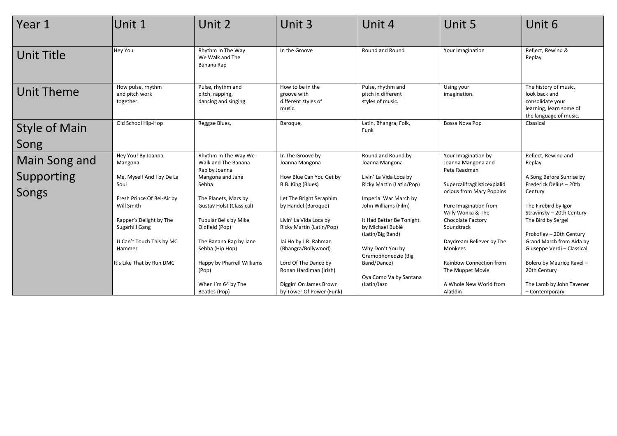| Year 1                       | Unit 1                                           | Unit 2                                                       | Unit 3                                                           | Unit 4                                                      | Unit 5                                     | Unit 6                                                                                                          |
|------------------------------|--------------------------------------------------|--------------------------------------------------------------|------------------------------------------------------------------|-------------------------------------------------------------|--------------------------------------------|-----------------------------------------------------------------------------------------------------------------|
| Unit Title                   | Hey You                                          | Rhythm In The Way<br>We Walk and The<br>Banana Rap           | In the Groove                                                    | Round and Round                                             | Your Imagination                           | Reflect, Rewind &<br>Replay                                                                                     |
| Unit Theme                   | How pulse, rhythm<br>and pitch work<br>together. | Pulse, rhythm and<br>pitch, rapping,<br>dancing and singing. | How to be in the<br>groove with<br>different styles of<br>music. | Pulse, rhythm and<br>pitch in different<br>styles of music. | Using your<br>imagination.                 | The history of music,<br>look back and<br>consolidate your<br>learning, learn some of<br>the language of music. |
| <b>Style of Main</b><br>Song | Old School Hip-Hop                               | Reggae Blues,                                                | Baroque,                                                         | Latin, Bhangra, Folk,<br>Funk                               | Bossa Nova Pop                             | Classical                                                                                                       |
|                              |                                                  | Rhythm In The Way We                                         | In The Groove by                                                 | Round and Round by                                          |                                            |                                                                                                                 |
| Main Song and                | Hey You! By Joanna<br>Mangona                    | Walk and The Banana                                          | Joanna Mangona                                                   | Joanna Mangona                                              | Your Imagination by<br>Joanna Mangona and  | Reflect, Rewind and<br>Replay                                                                                   |
|                              |                                                  | Rap by Joanna                                                |                                                                  |                                                             | Pete Readman                               |                                                                                                                 |
| Supporting                   | Me, Myself And I by De La<br>Soul                | Mangona and Jane<br>Sebba                                    | How Blue Can You Get by<br>B.B. King (Blues)                     | Livin' La Vida Loca by<br>Ricky Martin (Latin/Pop)          | Supercalifragilisticexpialid               | A Song Before Sunrise by<br>Frederick Delius - 20th                                                             |
| Songs                        |                                                  |                                                              |                                                                  |                                                             | ocious from Mary Poppins                   | Century                                                                                                         |
|                              | Fresh Prince Of Bel-Air by                       | The Planets, Mars by                                         | Let The Bright Seraphim                                          | Imperial War March by                                       |                                            |                                                                                                                 |
|                              | Will Smith                                       | <b>Gustav Holst (Classical)</b>                              | by Handel (Baroque)                                              | John Williams (Film)                                        | Pure Imagination from<br>Willy Wonka & The | The Firebird by Igor<br>Stravinsky - 20th Century                                                               |
|                              | Rapper's Delight by The                          | <b>Tubular Bells by Mike</b>                                 | Livin' La Vida Loca by                                           | It Had Better Be Tonight                                    | Chocolate Factory                          | The Bird by Sergei                                                                                              |
|                              | Sugarhill Gang                                   | Oldfield (Pop)                                               | Ricky Martin (Latin/Pop)                                         | by Michael Bublé<br>(Latin/Big Band)                        | Soundtrack                                 | Prokofiev - 20th Century                                                                                        |
|                              | U Can't Touch This by MC                         | The Banana Rap by Jane                                       | Jai Ho by J.R. Rahman                                            |                                                             | Daydream Believer by The                   | Grand March from Aida by                                                                                        |
|                              | Hammer                                           | Sebba (Hip Hop)                                              | (Bhangra/Bollywood)                                              | Why Don't You by                                            | Monkees                                    | Giuseppe Verdi - Classical                                                                                      |
|                              | It's Like That by Run DMC                        | Happy by Pharrell Williams                                   | Lord Of The Dance by                                             | Gramophonedzie (Big<br>Band/Dance)                          | <b>Rainbow Connection from</b>             | Bolero by Maurice Ravel -                                                                                       |
|                              |                                                  | (Pop)                                                        | Ronan Hardiman (Irish)                                           |                                                             | The Muppet Movie                           | 20th Century                                                                                                    |
|                              |                                                  | When I'm 64 by The                                           | Diggin' On James Brown                                           | Oya Como Va by Santana<br>(Latin/Jazz                       | A Whole New World from                     | The Lamb by John Tavener                                                                                        |
|                              |                                                  | Beatles (Pop)                                                | by Tower Of Power (Funk)                                         |                                                             | Aladdin                                    | - Contemporary                                                                                                  |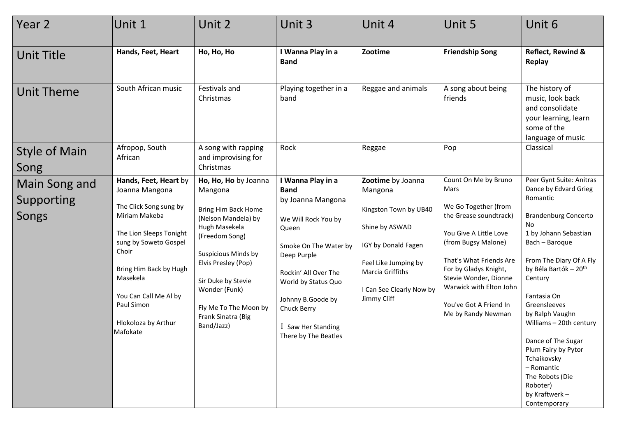| Year 2                               | Unit 1                                                                                                                                                                                                                                                          | Unit 2                                                                                                                                                                                                                                                                           | Unit 3                                                                                                                                                                                                                                                         | Unit 4                                                                                                                                                                                | Unit 5                                                                                                                                                                                                                                                                                  | Unit 6                                                                                                                                                                                                                                                                                                                                                                                                                                                 |
|--------------------------------------|-----------------------------------------------------------------------------------------------------------------------------------------------------------------------------------------------------------------------------------------------------------------|----------------------------------------------------------------------------------------------------------------------------------------------------------------------------------------------------------------------------------------------------------------------------------|----------------------------------------------------------------------------------------------------------------------------------------------------------------------------------------------------------------------------------------------------------------|---------------------------------------------------------------------------------------------------------------------------------------------------------------------------------------|-----------------------------------------------------------------------------------------------------------------------------------------------------------------------------------------------------------------------------------------------------------------------------------------|--------------------------------------------------------------------------------------------------------------------------------------------------------------------------------------------------------------------------------------------------------------------------------------------------------------------------------------------------------------------------------------------------------------------------------------------------------|
| <b>Unit Title</b>                    | Hands, Feet, Heart                                                                                                                                                                                                                                              | Ho, Ho, Ho                                                                                                                                                                                                                                                                       | I Wanna Play in a<br><b>Band</b>                                                                                                                                                                                                                               | Zootime                                                                                                                                                                               | <b>Friendship Song</b>                                                                                                                                                                                                                                                                  | Reflect, Rewind &<br>Replay                                                                                                                                                                                                                                                                                                                                                                                                                            |
| Unit Theme                           | South African music                                                                                                                                                                                                                                             | Festivals and<br>Christmas                                                                                                                                                                                                                                                       | Playing together in a<br>band                                                                                                                                                                                                                                  | Reggae and animals                                                                                                                                                                    | A song about being<br>friends                                                                                                                                                                                                                                                           | The history of<br>music, look back<br>and consolidate<br>your learning, learn<br>some of the<br>language of music                                                                                                                                                                                                                                                                                                                                      |
| <b>Style of Main</b><br>Song         | Afropop, South<br>African                                                                                                                                                                                                                                       | A song with rapping<br>and improvising for<br>Christmas                                                                                                                                                                                                                          | Rock                                                                                                                                                                                                                                                           | Reggae                                                                                                                                                                                | Pop                                                                                                                                                                                                                                                                                     | Classical                                                                                                                                                                                                                                                                                                                                                                                                                                              |
| Main Song and<br>Supporting<br>Songs | Hands, Feet, Heart by<br>Joanna Mangona<br>The Click Song sung by<br>Miriam Makeba<br>The Lion Sleeps Tonight<br>sung by Soweto Gospel<br>Choir<br>Bring Him Back by Hugh<br>Masekela<br>You Can Call Me Al by<br>Paul Simon<br>Hlokoloza by Arthur<br>Mafokate | Ho, Ho, Ho by Joanna<br>Mangona<br><b>Bring Him Back Home</b><br>(Nelson Mandela) by<br>Hugh Masekela<br>(Freedom Song)<br><b>Suspicious Minds by</b><br>Elvis Presley (Pop)<br>Sir Duke by Stevie<br>Wonder (Funk)<br>Fly Me To The Moon by<br>Frank Sinatra (Big<br>Band/Jazz) | I Wanna Play in a<br><b>Band</b><br>by Joanna Mangona<br>We Will Rock You by<br>Queen<br>Smoke On The Water by<br>Deep Purple<br>Rockin' All Over The<br>World by Status Quo<br>Johnny B.Goode by<br>Chuck Berry<br>I Saw Her Standing<br>There by The Beatles | Zootime by Joanna<br>Mangona<br>Kingston Town by UB40<br>Shine by ASWAD<br>IGY by Donald Fagen<br>Feel Like Jumping by<br>Marcia Griffiths<br>I Can See Clearly Now by<br>Jimmy Cliff | Count On Me by Bruno<br>Mars<br>We Go Together (from<br>the Grease soundtrack)<br>You Give A Little Love<br>(from Bugsy Malone)<br>That's What Friends Are<br>For by Gladys Knight,<br>Stevie Wonder, Dionne<br>Warwick with Elton John<br>You've Got A Friend In<br>Me by Randy Newman | Peer Gynt Suite: Anitras<br>Dance by Edvard Grieg<br>Romantic<br><b>Brandenburg Concerto</b><br><b>No</b><br>1 by Johann Sebastian<br>Bach - Baroque<br>From The Diary Of A Fly<br>by Béla Bartók - 20 <sup>th</sup><br>Century<br>Fantasia On<br>Greensleeves<br>by Ralph Vaughn<br>Williams - 20th century<br>Dance of The Sugar<br>Plum Fairy by Pytor<br>Tchaikovsky<br>- Romantic<br>The Robots (Die<br>Roboter)<br>by Kraftwerk-<br>Contemporary |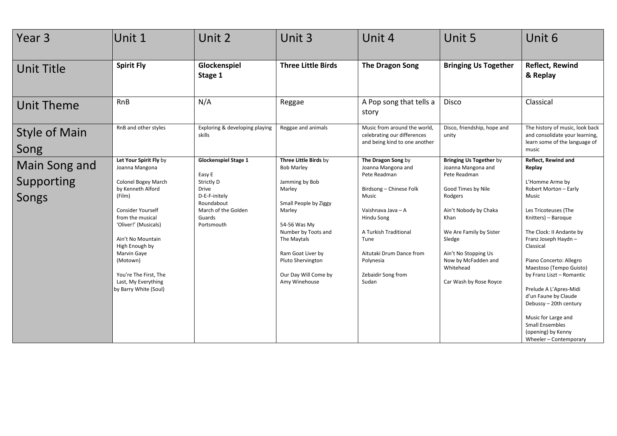| Year 3                               | Unit 1                                                                                                                                                                                                                                                                                                     | Unit 2                                                                                                                                            | Unit 3                                                                                                                                                                                                                                             | Unit 4                                                                                                                                                                                                                                    | Unit 5                                                                                                                                                                                                                                                            | Unit 6                                                                                                                                                                                                                                                                                                                                                                                                                                                                   |
|--------------------------------------|------------------------------------------------------------------------------------------------------------------------------------------------------------------------------------------------------------------------------------------------------------------------------------------------------------|---------------------------------------------------------------------------------------------------------------------------------------------------|----------------------------------------------------------------------------------------------------------------------------------------------------------------------------------------------------------------------------------------------------|-------------------------------------------------------------------------------------------------------------------------------------------------------------------------------------------------------------------------------------------|-------------------------------------------------------------------------------------------------------------------------------------------------------------------------------------------------------------------------------------------------------------------|--------------------------------------------------------------------------------------------------------------------------------------------------------------------------------------------------------------------------------------------------------------------------------------------------------------------------------------------------------------------------------------------------------------------------------------------------------------------------|
| <b>Unit Title</b>                    | <b>Spirit Fly</b>                                                                                                                                                                                                                                                                                          | Glockenspiel<br>Stage 1                                                                                                                           | <b>Three Little Birds</b>                                                                                                                                                                                                                          | <b>The Dragon Song</b>                                                                                                                                                                                                                    | <b>Bringing Us Together</b>                                                                                                                                                                                                                                       | <b>Reflect, Rewind</b><br>& Replay                                                                                                                                                                                                                                                                                                                                                                                                                                       |
| <b>Unit Theme</b>                    | <b>RnB</b>                                                                                                                                                                                                                                                                                                 | N/A                                                                                                                                               | Reggae                                                                                                                                                                                                                                             | A Pop song that tells a<br>story                                                                                                                                                                                                          | Disco                                                                                                                                                                                                                                                             | Classical                                                                                                                                                                                                                                                                                                                                                                                                                                                                |
| <b>Style of Main</b><br>Song         | RnB and other styles                                                                                                                                                                                                                                                                                       | Exploring & developing playing<br>skills                                                                                                          | Reggae and animals                                                                                                                                                                                                                                 | Music from around the world,<br>celebrating our differences<br>and being kind to one another                                                                                                                                              | Disco, friendship, hope and<br>unity                                                                                                                                                                                                                              | The history of music, look back<br>and consolidate your learning,<br>learn some of the language of<br>music                                                                                                                                                                                                                                                                                                                                                              |
| Main Song and<br>Supporting<br>Songs | Let Your Spirit Fly by<br>Joanna Mangona<br>Colonel Bogey March<br>by Kenneth Alford<br>(Film)<br>Consider Yourself<br>from the musical<br>'Oliver!' (Musicals)<br>Ain't No Mountain<br>High Enough by<br>Marvin Gaye<br>(Motown)<br>You're The First, The<br>Last, My Everything<br>by Barry White (Soul) | <b>Glockenspiel Stage 1</b><br>Easy E<br>Strictly D<br><b>Drive</b><br>D-E-F-initely<br>Roundabout<br>March of the Golden<br>Guards<br>Portsmouth | Three Little Birds by<br><b>Bob Marley</b><br>Jamming by Bob<br>Marley<br>Small People by Ziggy<br>Marley<br>54-56 Was My<br>Number by Toots and<br>The Maytals<br>Ram Goat Liver by<br>Pluto Shervington<br>Our Day Will Come by<br>Amy Winehouse | The Dragon Song by<br>Joanna Mangona and<br>Pete Readman<br>Birdsong - Chinese Folk<br>Music<br>Vaishnava Java - A<br>Hindu Song<br>A Turkish Traditional<br>Tune<br>Aitutaki Drum Dance from<br>Polynesia<br>Zebaidir Song from<br>Sudan | <b>Bringing Us Together by</b><br>Joanna Mangona and<br>Pete Readman<br>Good Times by Nile<br>Rodgers<br>Ain't Nobody by Chaka<br>Khan<br>We Are Family by Sister<br>Sledge<br>Ain't No Stopping Us<br>Now by McFadden and<br>Whitehead<br>Car Wash by Rose Royce | <b>Reflect, Rewind and</b><br>Replay<br>L'Homme Arme by<br>Robert Morton - Early<br>Music<br>Les Tricoteuses (The<br>Knitters) - Baroque<br>The Clock: II Andante by<br>Franz Joseph Haydn-<br>Classical<br>Piano Concerto: Allegro<br>Maestoso (Tempo Guisto)<br>by Franz Liszt - Romantic<br>Prelude A L'Apres-Midi<br>d'un Faune by Claude<br>Debussy - 20th century<br>Music for Large and<br><b>Small Ensembles</b><br>(opening) by Kenny<br>Wheeler - Contemporary |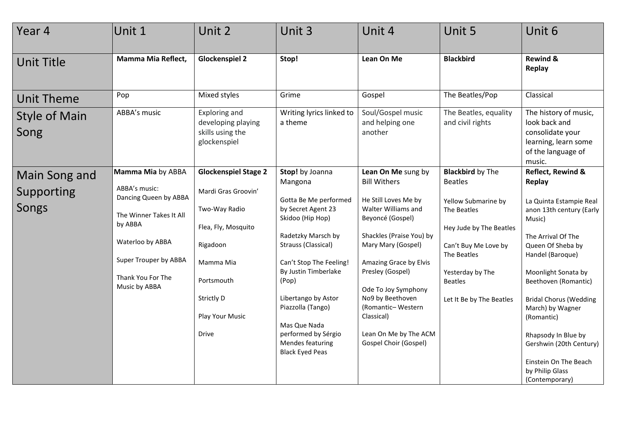| Unit 1                                                                                                                                                                               | Unit 2                                                                                                                                                                             | Unit 3                                                                                                                                                                                                                                                                                                                                  | Unit 4                                                                                                                                                                                                                                                                                                                                       | Unit 5                                                                                                                                                                                                              | Unit 6                                                                                                                                                                                                                                                                                                                                                                             |
|--------------------------------------------------------------------------------------------------------------------------------------------------------------------------------------|------------------------------------------------------------------------------------------------------------------------------------------------------------------------------------|-----------------------------------------------------------------------------------------------------------------------------------------------------------------------------------------------------------------------------------------------------------------------------------------------------------------------------------------|----------------------------------------------------------------------------------------------------------------------------------------------------------------------------------------------------------------------------------------------------------------------------------------------------------------------------------------------|---------------------------------------------------------------------------------------------------------------------------------------------------------------------------------------------------------------------|------------------------------------------------------------------------------------------------------------------------------------------------------------------------------------------------------------------------------------------------------------------------------------------------------------------------------------------------------------------------------------|
| Mamma Mia Reflect,                                                                                                                                                                   | <b>Glockenspiel 2</b>                                                                                                                                                              | Stop!                                                                                                                                                                                                                                                                                                                                   | Lean On Me                                                                                                                                                                                                                                                                                                                                   | <b>Blackbird</b>                                                                                                                                                                                                    | <b>Rewind &amp;</b><br>Replay                                                                                                                                                                                                                                                                                                                                                      |
| Pop                                                                                                                                                                                  | Mixed styles                                                                                                                                                                       | Grime                                                                                                                                                                                                                                                                                                                                   | Gospel                                                                                                                                                                                                                                                                                                                                       | The Beatles/Pop                                                                                                                                                                                                     | Classical                                                                                                                                                                                                                                                                                                                                                                          |
| ABBA's music                                                                                                                                                                         | <b>Exploring and</b><br>developing playing<br>skills using the<br>glockenspiel                                                                                                     | Writing lyrics linked to<br>a theme                                                                                                                                                                                                                                                                                                     | Soul/Gospel music<br>and helping one<br>another                                                                                                                                                                                                                                                                                              | The Beatles, equality<br>and civil rights                                                                                                                                                                           | The history of music,<br>look back and<br>consolidate your<br>learning, learn some<br>of the language of<br>music.                                                                                                                                                                                                                                                                 |
| Mamma Mia by ABBA<br>ABBA's music:<br>Dancing Queen by ABBA<br>The Winner Takes It All<br>by ABBA<br>Waterloo by ABBA<br>Super Trouper by ABBA<br>Thank You For The<br>Music by ABBA | <b>Glockenspiel Stage 2</b><br>Mardi Gras Groovin'<br>Two-Way Radio<br>Flea, Fly, Mosquito<br>Rigadoon<br>Mamma Mia<br>Portsmouth<br>Strictly D<br>Play Your Music<br><b>Drive</b> | Stop! by Joanna<br>Mangona<br>Gotta Be Me performed<br>by Secret Agent 23<br>Skidoo (Hip Hop)<br>Radetzky Marsch by<br>Strauss (Classical)<br>Can't Stop The Feeling!<br>By Justin Timberlake<br>(Pop)<br>Libertango by Astor<br>Piazzolla (Tango)<br>Mas Que Nada<br>performed by Sérgio<br>Mendes featuring<br><b>Black Eyed Peas</b> | Lean On Me sung by<br><b>Bill Withers</b><br>He Still Loves Me by<br>Walter Williams and<br>Beyoncé (Gospel)<br>Shackles (Praise You) by<br>Mary Mary (Gospel)<br>Amazing Grace by Elvis<br>Presley (Gospel)<br>Ode To Joy Symphony<br>No9 by Beethoven<br>(Romantic-Western<br>Classical)<br>Lean On Me by The ACM<br>Gospel Choir (Gospel) | <b>Blackbird by The</b><br><b>Beatles</b><br>Yellow Submarine by<br>The Beatles<br>Hey Jude by The Beatles<br>Can't Buy Me Love by<br>The Beatles<br>Yesterday by The<br><b>Beatles</b><br>Let It Be by The Beatles | Reflect, Rewind &<br><b>Replay</b><br>La Quinta Estampie Real<br>anon 13th century (Early<br>Music)<br>The Arrival Of The<br>Queen Of Sheba by<br>Handel (Baroque)<br>Moonlight Sonata by<br>Beethoven (Romantic)<br><b>Bridal Chorus (Wedding</b><br>March) by Wagner<br>(Romantic)<br>Rhapsody In Blue by<br>Gershwin (20th Century)<br>Einstein On The Beach<br>by Philip Glass |
|                                                                                                                                                                                      |                                                                                                                                                                                    |                                                                                                                                                                                                                                                                                                                                         |                                                                                                                                                                                                                                                                                                                                              |                                                                                                                                                                                                                     |                                                                                                                                                                                                                                                                                                                                                                                    |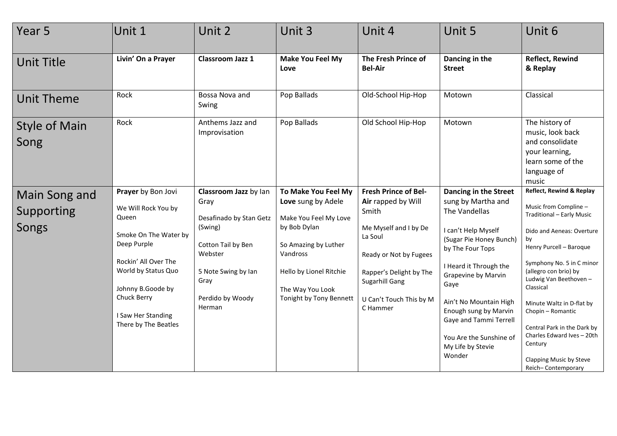| Year 5                               | Unit 1                                                                                                                                                                                                                      | Unit 2                                                                                                                                                            | Unit 3                                                                                                                                                                                           | Unit 4                                                                                                                                                                                                       | Unit 5                                                                                                                                                                                                                                                                                                                             | Unit 6                                                                                                                                                                                                                                                                                                                                                                                                              |
|--------------------------------------|-----------------------------------------------------------------------------------------------------------------------------------------------------------------------------------------------------------------------------|-------------------------------------------------------------------------------------------------------------------------------------------------------------------|--------------------------------------------------------------------------------------------------------------------------------------------------------------------------------------------------|--------------------------------------------------------------------------------------------------------------------------------------------------------------------------------------------------------------|------------------------------------------------------------------------------------------------------------------------------------------------------------------------------------------------------------------------------------------------------------------------------------------------------------------------------------|---------------------------------------------------------------------------------------------------------------------------------------------------------------------------------------------------------------------------------------------------------------------------------------------------------------------------------------------------------------------------------------------------------------------|
| <b>Unit Title</b>                    | Livin' On a Prayer                                                                                                                                                                                                          | Classroom Jazz 1                                                                                                                                                  | <b>Make You Feel My</b><br>Love                                                                                                                                                                  | The Fresh Prince of<br><b>Bel-Air</b>                                                                                                                                                                        | Dancing in the<br><b>Street</b>                                                                                                                                                                                                                                                                                                    | <b>Reflect, Rewind</b><br>& Replay                                                                                                                                                                                                                                                                                                                                                                                  |
| <b>Unit Theme</b>                    | Rock                                                                                                                                                                                                                        | Bossa Nova and<br>Swing                                                                                                                                           | Pop Ballads                                                                                                                                                                                      | Old-School Hip-Hop                                                                                                                                                                                           | Motown                                                                                                                                                                                                                                                                                                                             | Classical                                                                                                                                                                                                                                                                                                                                                                                                           |
| <b>Style of Main</b><br>Song         | Rock                                                                                                                                                                                                                        | Anthems Jazz and<br>Improvisation                                                                                                                                 | Pop Ballads                                                                                                                                                                                      | Old School Hip-Hop                                                                                                                                                                                           | Motown                                                                                                                                                                                                                                                                                                                             | The history of<br>music, look back<br>and consolidate<br>your learning,<br>learn some of the<br>language of<br>music                                                                                                                                                                                                                                                                                                |
| Main Song and<br>Supporting<br>Songs | Prayer by Bon Jovi<br>We Will Rock You by<br>Queen<br>Smoke On The Water by<br>Deep Purple<br>Rockin' All Over The<br>World by Status Quo<br>Johnny B.Goode by<br>Chuck Berry<br>I Saw Her Standing<br>There by The Beatles | Classroom Jazz by lan<br>Gray<br>Desafinado by Stan Getz<br>(Swing)<br>Cotton Tail by Ben<br>Webster<br>5 Note Swing by Ian<br>Gray<br>Perdido by Woody<br>Herman | To Make You Feel My<br>Love sung by Adele<br>Make You Feel My Love<br>by Bob Dylan<br>So Amazing by Luther<br>Vandross<br>Hello by Lionel Ritchie<br>The Way You Look<br>Tonight by Tony Bennett | <b>Fresh Prince of Bel-</b><br>Air rapped by Will<br>Smith<br>Me Myself and I by De<br>La Soul<br>Ready or Not by Fugees<br>Rapper's Delight by The<br>Sugarhill Gang<br>U Can't Touch This by M<br>C Hammer | Dancing in the Street<br>sung by Martha and<br>The Vandellas<br>I can't Help Myself<br>(Sugar Pie Honey Bunch)<br>by The Four Tops<br>I Heard it Through the<br>Grapevine by Marvin<br>Gaye<br>Ain't No Mountain High<br>Enough sung by Marvin<br>Gaye and Tammi Terrell<br>You Are the Sunshine of<br>My Life by Stevie<br>Wonder | Reflect, Rewind & Replay<br>Music from Compline -<br>Traditional - Early Music<br>Dido and Aeneas: Overture<br>by<br>Henry Purcell - Baroque<br>Symphony No. 5 in C minor<br>(allegro con brio) by<br>Ludwig Van Beethoven-<br>Classical<br>Minute Waltz in D-flat by<br>Chopin - Romantic<br>Central Park in the Dark by<br>Charles Edward Ives - 20th<br>Century<br>Clapping Music by Steve<br>Reich-Contemporary |